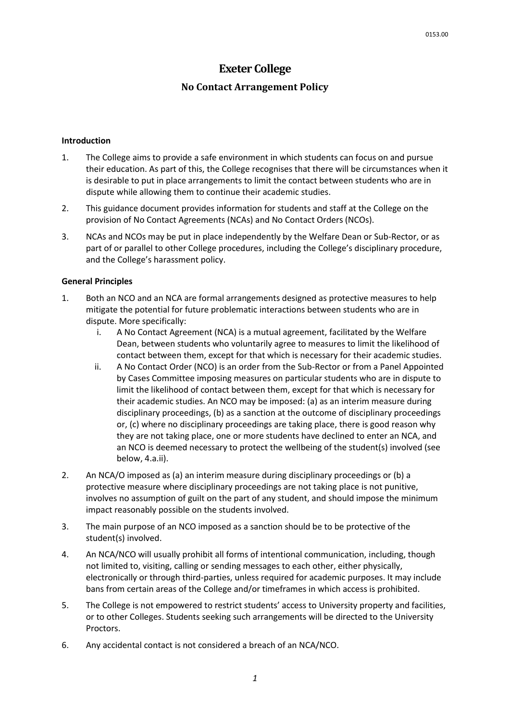# **Exeter College**

## **No Contact Arrangement Policy**

#### **Introduction**

- 1. The College aims to provide a safe environment in which students can focus on and pursue their education. As part of this, the College recognises that there will be circumstances when it is desirable to put in place arrangements to limit the contact between students who are in dispute while allowing them to continue their academic studies.
- 2. This guidance document provides information for students and staff at the College on the provision of No Contact Agreements (NCAs) and No Contact Orders (NCOs).
- 3. NCAs and NCOs may be put in place independently by the Welfare Dean or Sub-Rector, or as part of or parallel to other College procedures, including the College's disciplinary procedure, and the College's harassment policy.

#### **General Principles**

- 1. Both an NCO and an NCA are formal arrangements designed as protective measures to help mitigate the potential for future problematic interactions between students who are in dispute. More specifically:
	- i. A No Contact Agreement (NCA) is a mutual agreement, facilitated by the Welfare Dean, between students who voluntarily agree to measures to limit the likelihood of contact between them, except for that which is necessary for their academic studies.
	- ii. A No Contact Order (NCO) is an order from the Sub-Rector or from a Panel Appointed by Cases Committee imposing measures on particular students who are in dispute to limit the likelihood of contact between them, except for that which is necessary for their academic studies. An NCO may be imposed: (a) as an interim measure during disciplinary proceedings, (b) as a sanction at the outcome of disciplinary proceedings or, (c) where no disciplinary proceedings are taking place, there is good reason why they are not taking place, one or more students have declined to enter an NCA, and an NCO is deemed necessary to protect the wellbeing of the student(s) involved (see below, 4.a.ii).
- 2. An NCA/O imposed as (a) an interim measure during disciplinary proceedings or (b) a protective measure where disciplinary proceedings are not taking place is not punitive, involves no assumption of guilt on the part of any student, and should impose the minimum impact reasonably possible on the students involved.
- 3. The main purpose of an NCO imposed as a sanction should be to be protective of the student(s) involved.
- 4. An NCA/NCO will usually prohibit all forms of intentional communication, including, though not limited to, visiting, calling or sending messages to each other, either physically, electronically or through third-parties, unless required for academic purposes. It may include bans from certain areas of the College and/or timeframes in which access is prohibited.
- 5. The College is not empowered to restrict students' access to University property and facilities, or to other Colleges. Students seeking such arrangements will be directed to the University Proctors.
- 6. Any accidental contact is not considered a breach of an NCA/NCO.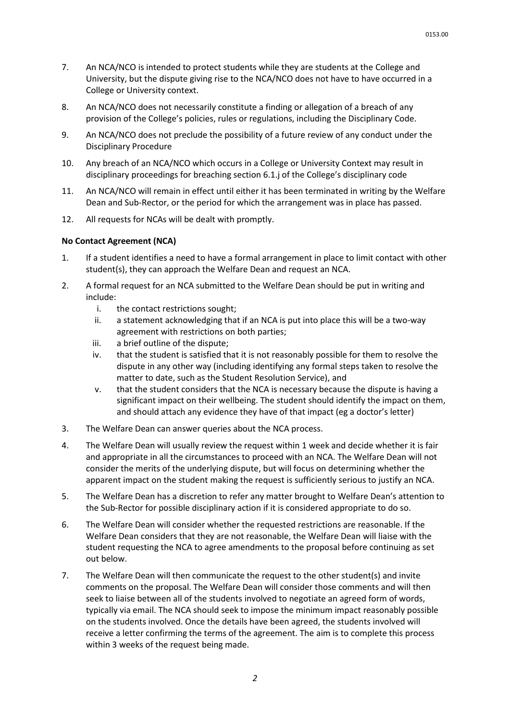- 7. An NCA/NCO is intended to protect students while they are students at the College and University, but the dispute giving rise to the NCA/NCO does not have to have occurred in a College or University context.
- 8. An NCA/NCO does not necessarily constitute a finding or allegation of a breach of any provision of the College's policies, rules or regulations, including the Disciplinary Code.
- 9. An NCA/NCO does not preclude the possibility of a future review of any conduct under the Disciplinary Procedure
- 10. Any breach of an NCA/NCO which occurs in a College or University Context may result in disciplinary proceedings for breaching section 6.1.j of the College's disciplinary code
- 11. An NCA/NCO will remain in effect until either it has been terminated in writing by the Welfare Dean and Sub-Rector, or the period for which the arrangement was in place has passed.
- 12. All requests for NCAs will be dealt with promptly.

#### **No Contact Agreement (NCA)**

- 1. If a student identifies a need to have a formal arrangement in place to limit contact with other student(s), they can approach the Welfare Dean and request an NCA.
- 2. A formal request for an NCA submitted to the Welfare Dean should be put in writing and include:
	- i. the contact restrictions sought;
	- ii. a statement acknowledging that if an NCA is put into place this will be a two-way agreement with restrictions on both parties;
	- iii. a brief outline of the dispute;
	- iv. that the student is satisfied that it is not reasonably possible for them to resolve the dispute in any other way (including identifying any formal steps taken to resolve the matter to date, such as the Student Resolution Service), and
	- v. that the student considers that the NCA is necessary because the dispute is having a significant impact on their wellbeing. The student should identify the impact on them, and should attach any evidence they have of that impact (eg a doctor's letter)
- 3. The Welfare Dean can answer queries about the NCA process.
- 4. The Welfare Dean will usually review the request within 1 week and decide whether it is fair and appropriate in all the circumstances to proceed with an NCA. The Welfare Dean will not consider the merits of the underlying dispute, but will focus on determining whether the apparent impact on the student making the request is sufficiently serious to justify an NCA.
- 5. The Welfare Dean has a discretion to refer any matter brought to Welfare Dean's attention to the Sub-Rector for possible disciplinary action if it is considered appropriate to do so.
- 6. The Welfare Dean will consider whether the requested restrictions are reasonable. If the Welfare Dean considers that they are not reasonable, the Welfare Dean will liaise with the student requesting the NCA to agree amendments to the proposal before continuing as set out below.
- 7. The Welfare Dean will then communicate the request to the other student(s) and invite comments on the proposal. The Welfare Dean will consider those comments and will then seek to liaise between all of the students involved to negotiate an agreed form of words, typically via email. The NCA should seek to impose the minimum impact reasonably possible on the students involved. Once the details have been agreed, the students involved will receive a letter confirming the terms of the agreement. The aim is to complete this process within 3 weeks of the request being made.